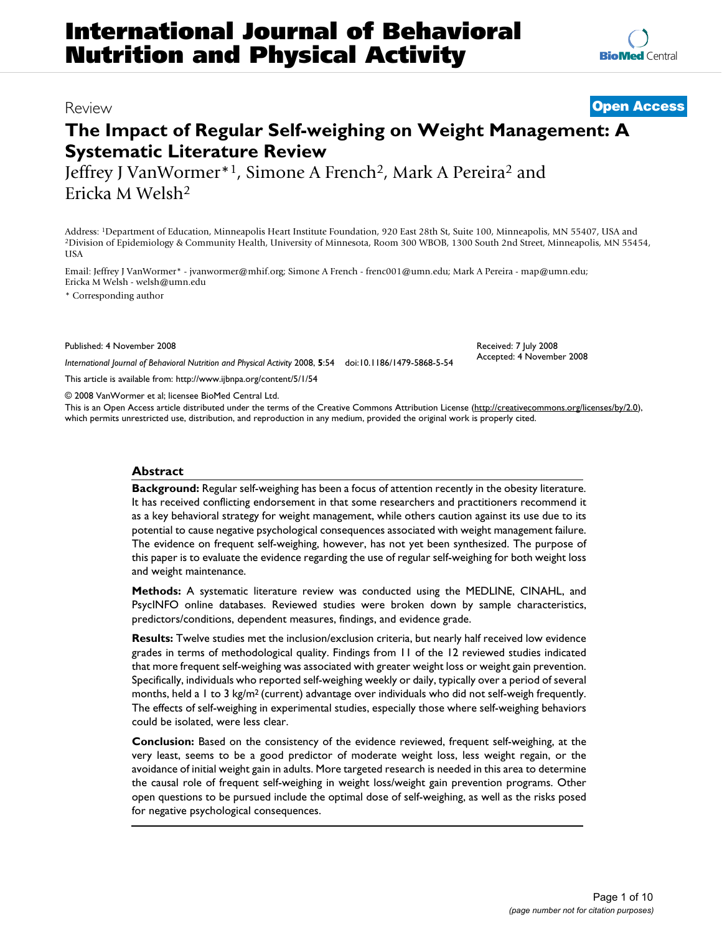# **The Impact of Regular Self-weighing on Weight Management: A Systematic Literature Review**

Jeffrey J VanWormer\*1, Simone A French<sup>2</sup>, Mark A Pereira<sup>2</sup> and Ericka M Welsh2

Address: <sup>1</sup>Department of Education, Minneapolis Heart Institute Foundation, 920 East 28th St, Suite 100, Minneapolis, MN 55407, USA and<br><sup>2</sup>Division of Epidemiology & Community Health, University of Minnesota, Room 300 WBO USA

Email: Jeffrey J VanWormer\* - jvanwormer@mhif.org; Simone A French - frenc001@umn.edu; Mark A Pereira - map@umn.edu; Ericka M Welsh - welsh@umn.edu

\* Corresponding author

Published: 4 November 2008

*International Journal of Behavioral Nutrition and Physical Activity* 2008, **5**:54 doi:10.1186/1479-5868-5-54

[This article is available from: http://www.ijbnpa.org/content/5/1/54](http://www.ijbnpa.org/content/5/1/54)

© 2008 VanWormer et al; licensee BioMed Central Ltd.

This is an Open Access article distributed under the terms of the Creative Commons Attribution License [\(http://creativecommons.org/licenses/by/2.0\)](http://creativecommons.org/licenses/by/2.0), which permits unrestricted use, distribution, and reproduction in any medium, provided the original work is properly cited.

#### **Abstract**

**Background:** Regular self-weighing has been a focus of attention recently in the obesity literature. It has received conflicting endorsement in that some researchers and practitioners recommend it as a key behavioral strategy for weight management, while others caution against its use due to its potential to cause negative psychological consequences associated with weight management failure. The evidence on frequent self-weighing, however, has not yet been synthesized. The purpose of this paper is to evaluate the evidence regarding the use of regular self-weighing for both weight loss and weight maintenance.

**Methods:** A systematic literature review was conducted using the MEDLINE, CINAHL, and PsycINFO online databases. Reviewed studies were broken down by sample characteristics, predictors/conditions, dependent measures, findings, and evidence grade.

**Results:** Twelve studies met the inclusion/exclusion criteria, but nearly half received low evidence grades in terms of methodological quality. Findings from 11 of the 12 reviewed studies indicated that more frequent self-weighing was associated with greater weight loss or weight gain prevention. Specifically, individuals who reported self-weighing weekly or daily, typically over a period of several months, held a 1 to 3 kg/m<sup>2</sup> (current) advantage over individuals who did not self-weigh frequently. The effects of self-weighing in experimental studies, especially those where self-weighing behaviors could be isolated, were less clear.

**Conclusion:** Based on the consistency of the evidence reviewed, frequent self-weighing, at the very least, seems to be a good predictor of moderate weight loss, less weight regain, or the avoidance of initial weight gain in adults. More targeted research is needed in this area to determine the causal role of frequent self-weighing in weight loss/weight gain prevention programs. Other open questions to be pursued include the optimal dose of self-weighing, as well as the risks posed for negative psychological consequences.

Review **[Open Access](http://www.biomedcentral.com/info/about/charter/)**

Received: 7 July 2008 Accepted: 4 November 2008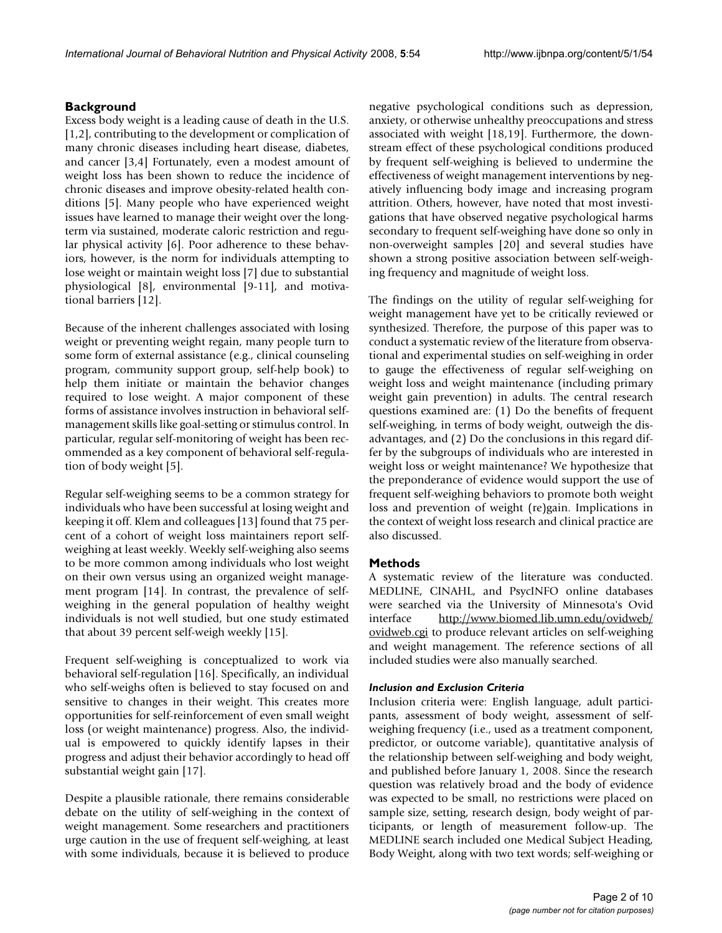# **Background**

Excess body weight is a leading cause of death in the U.S. [1,2], contributing to the development or complication of many chronic diseases including heart disease, diabetes, and cancer [3,4] Fortunately, even a modest amount of weight loss has been shown to reduce the incidence of chronic diseases and improve obesity-related health conditions [5]. Many people who have experienced weight issues have learned to manage their weight over the longterm via sustained, moderate caloric restriction and regular physical activity [6]. Poor adherence to these behaviors, however, is the norm for individuals attempting to lose weight or maintain weight loss [7] due to substantial physiological [8], environmental [9-11], and motivational barriers [12].

Because of the inherent challenges associated with losing weight or preventing weight regain, many people turn to some form of external assistance (e.g., clinical counseling program, community support group, self-help book) to help them initiate or maintain the behavior changes required to lose weight. A major component of these forms of assistance involves instruction in behavioral selfmanagement skills like goal-setting or stimulus control. In particular, regular self-monitoring of weight has been recommended as a key component of behavioral self-regulation of body weight [5].

Regular self-weighing seems to be a common strategy for individuals who have been successful at losing weight and keeping it off. Klem and colleagues [13] found that 75 percent of a cohort of weight loss maintainers report selfweighing at least weekly. Weekly self-weighing also seems to be more common among individuals who lost weight on their own versus using an organized weight management program [14]. In contrast, the prevalence of selfweighing in the general population of healthy weight individuals is not well studied, but one study estimated that about 39 percent self-weigh weekly [15].

Frequent self-weighing is conceptualized to work via behavioral self-regulation [16]. Specifically, an individual who self-weighs often is believed to stay focused on and sensitive to changes in their weight. This creates more opportunities for self-reinforcement of even small weight loss (or weight maintenance) progress. Also, the individual is empowered to quickly identify lapses in their progress and adjust their behavior accordingly to head off substantial weight gain [17].

Despite a plausible rationale, there remains considerable debate on the utility of self-weighing in the context of weight management. Some researchers and practitioners urge caution in the use of frequent self-weighing, at least with some individuals, because it is believed to produce negative psychological conditions such as depression, anxiety, or otherwise unhealthy preoccupations and stress associated with weight [18,19]. Furthermore, the downstream effect of these psychological conditions produced by frequent self-weighing is believed to undermine the effectiveness of weight management interventions by negatively influencing body image and increasing program attrition. Others, however, have noted that most investigations that have observed negative psychological harms secondary to frequent self-weighing have done so only in non-overweight samples [20] and several studies have shown a strong positive association between self-weighing frequency and magnitude of weight loss.

The findings on the utility of regular self-weighing for weight management have yet to be critically reviewed or synthesized. Therefore, the purpose of this paper was to conduct a systematic review of the literature from observational and experimental studies on self-weighing in order to gauge the effectiveness of regular self-weighing on weight loss and weight maintenance (including primary weight gain prevention) in adults. The central research questions examined are: (1) Do the benefits of frequent self-weighing, in terms of body weight, outweigh the disadvantages, and (2) Do the conclusions in this regard differ by the subgroups of individuals who are interested in weight loss or weight maintenance? We hypothesize that the preponderance of evidence would support the use of frequent self-weighing behaviors to promote both weight loss and prevention of weight (re)gain. Implications in the context of weight loss research and clinical practice are also discussed.

# **Methods**

A systematic review of the literature was conducted. MEDLINE, CINAHL, and PsycINFO online databases were searched via the University of Minnesota's Ovid interface [http://www.biomed.lib.umn.edu/ovidweb/](http://www.biomed.lib.umn.edu/ovidweb/ovidweb.cgi) [ovidweb.cgi](http://www.biomed.lib.umn.edu/ovidweb/ovidweb.cgi) to produce relevant articles on self-weighing and weight management. The reference sections of all included studies were also manually searched.

# *Inclusion and Exclusion Criteria*

Inclusion criteria were: English language, adult participants, assessment of body weight, assessment of selfweighing frequency (i.e., used as a treatment component, predictor, or outcome variable), quantitative analysis of the relationship between self-weighing and body weight, and published before January 1, 2008. Since the research question was relatively broad and the body of evidence was expected to be small, no restrictions were placed on sample size, setting, research design, body weight of participants, or length of measurement follow-up. The MEDLINE search included one Medical Subject Heading, Body Weight, along with two text words; self-weighing or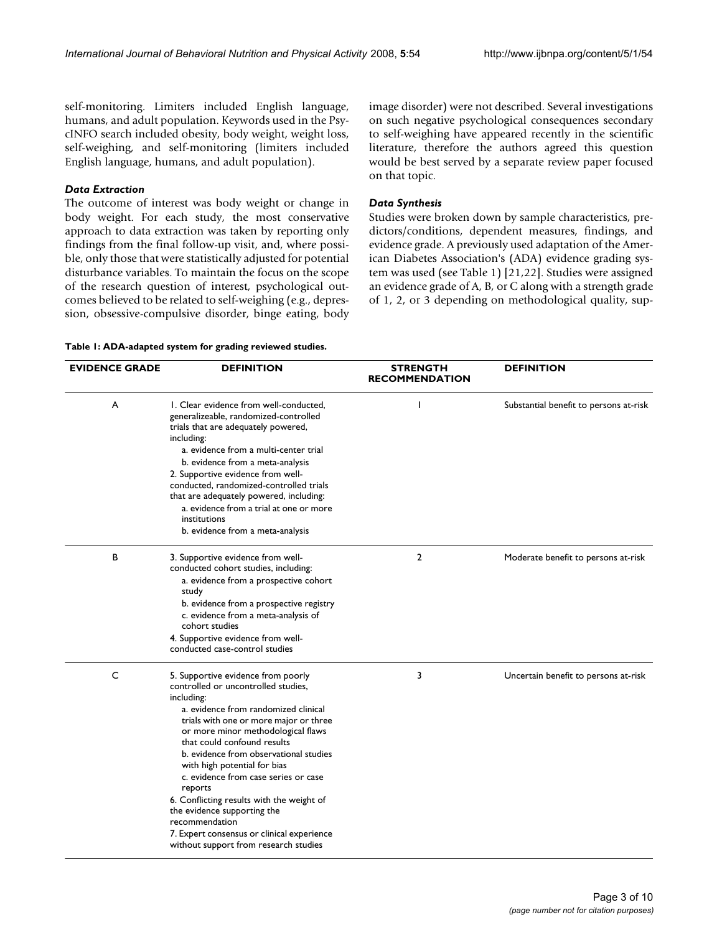self-monitoring. Limiters included English language, humans, and adult population. Keywords used in the PsycINFO search included obesity, body weight, weight loss, self-weighing, and self-monitoring (limiters included English language, humans, and adult population).

## *Data Extraction*

The outcome of interest was body weight or change in body weight. For each study, the most conservative approach to data extraction was taken by reporting only findings from the final follow-up visit, and, where possible, only those that were statistically adjusted for potential disturbance variables. To maintain the focus on the scope of the research question of interest, psychological outcomes believed to be related to self-weighing (e.g., depression, obsessive-compulsive disorder, binge eating, body image disorder) were not described. Several investigations on such negative psychological consequences secondary to self-weighing have appeared recently in the scientific literature, therefore the authors agreed this question would be best served by a separate review paper focused on that topic.

#### *Data Synthesis*

Studies were broken down by sample characteristics, predictors/conditions, dependent measures, findings, and evidence grade. A previously used adaptation of the American Diabetes Association's (ADA) evidence grading system was used (see Table 1) [21,22]. Studies were assigned an evidence grade of A, B, or C along with a strength grade of 1, 2, or 3 depending on methodological quality, sup-

#### **Table 1: ADA-adapted system for grading reviewed studies.**

| <b>EVIDENCE GRADE</b> | <b>DEFINITION</b>                                                                                                                                                                                                                                                                                                                                                                                                                                                                                                                                                | <b>STRENGTH</b><br><b>RECOMMENDATION</b> | <b>DEFINITION</b>                      |
|-----------------------|------------------------------------------------------------------------------------------------------------------------------------------------------------------------------------------------------------------------------------------------------------------------------------------------------------------------------------------------------------------------------------------------------------------------------------------------------------------------------------------------------------------------------------------------------------------|------------------------------------------|----------------------------------------|
| A                     | 1. Clear evidence from well-conducted.<br>generalizeable, randomized-controlled<br>trials that are adequately powered,<br>including:<br>a. evidence from a multi-center trial<br>b. evidence from a meta-analysis<br>2. Supportive evidence from well-<br>conducted, randomized-controlled trials<br>that are adequately powered, including:<br>a. evidence from a trial at one or more<br>institutions<br>b. evidence from a meta-analysis                                                                                                                      | ı                                        | Substantial benefit to persons at-risk |
| В                     | 3. Supportive evidence from well-<br>conducted cohort studies, including:<br>a. evidence from a prospective cohort<br>study<br>b. evidence from a prospective registry<br>c. evidence from a meta-analysis of<br>cohort studies<br>4. Supportive evidence from well-<br>conducted case-control studies                                                                                                                                                                                                                                                           | 2                                        | Moderate benefit to persons at-risk    |
| $\mathsf{C}$          | 5. Supportive evidence from poorly<br>controlled or uncontrolled studies,<br>including:<br>a. evidence from randomized clinical<br>trials with one or more major or three<br>or more minor methodological flaws<br>that could confound results<br>b. evidence from observational studies<br>with high potential for bias<br>c. evidence from case series or case<br>reports<br>6. Conflicting results with the weight of<br>the evidence supporting the<br>recommendation<br>7. Expert consensus or clinical experience<br>without support from research studies | 3                                        | Uncertain benefit to persons at-risk   |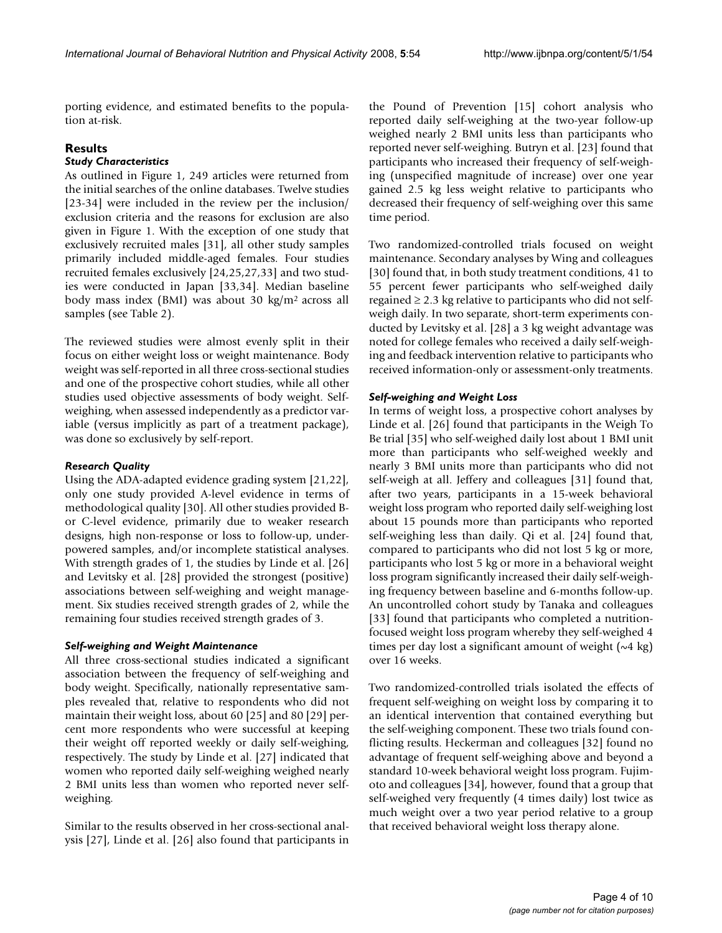porting evidence, and estimated benefits to the population at-risk.

# **Results**

# *Study Characteristics*

As outlined in Figure 1, 249 articles were returned from the initial searches of the online databases. Twelve studies [23-34] were included in the review per the inclusion/ exclusion criteria and the reasons for exclusion are also given in Figure 1. With the exception of one study that exclusively recruited males [31], all other study samples primarily included middle-aged females. Four studies recruited females exclusively [24,25,27,33] and two studies were conducted in Japan [33,34]. Median baseline body mass index (BMI) was about 30 kg/m2 across all samples (see Table 2).

The reviewed studies were almost evenly split in their focus on either weight loss or weight maintenance. Body weight was self-reported in all three cross-sectional studies and one of the prospective cohort studies, while all other studies used objective assessments of body weight. Selfweighing, when assessed independently as a predictor variable (versus implicitly as part of a treatment package), was done so exclusively by self-report.

# *Research Quality*

Using the ADA-adapted evidence grading system [21,22], only one study provided A-level evidence in terms of methodological quality [30]. All other studies provided Bor C-level evidence, primarily due to weaker research designs, high non-response or loss to follow-up, underpowered samples, and/or incomplete statistical analyses. With strength grades of 1, the studies by Linde et al. [26] and Levitsky et al. [28] provided the strongest (positive) associations between self-weighing and weight management. Six studies received strength grades of 2, while the remaining four studies received strength grades of 3.

### *Self-weighing and Weight Maintenance*

All three cross-sectional studies indicated a significant association between the frequency of self-weighing and body weight. Specifically, nationally representative samples revealed that, relative to respondents who did not maintain their weight loss, about 60 [25] and 80 [29] percent more respondents who were successful at keeping their weight off reported weekly or daily self-weighing, respectively. The study by Linde et al. [27] indicated that women who reported daily self-weighing weighed nearly 2 BMI units less than women who reported never selfweighing.

Similar to the results observed in her cross-sectional analysis [27], Linde et al. [26] also found that participants in the Pound of Prevention [15] cohort analysis who reported daily self-weighing at the two-year follow-up weighed nearly 2 BMI units less than participants who reported never self-weighing. Butryn et al. [23] found that participants who increased their frequency of self-weighing (unspecified magnitude of increase) over one year gained 2.5 kg less weight relative to participants who decreased their frequency of self-weighing over this same time period.

Two randomized-controlled trials focused on weight maintenance. Secondary analyses by Wing and colleagues [30] found that, in both study treatment conditions, 41 to 55 percent fewer participants who self-weighed daily regained  $\geq$  2.3 kg relative to participants who did not selfweigh daily. In two separate, short-term experiments conducted by Levitsky et al. [28] a 3 kg weight advantage was noted for college females who received a daily self-weighing and feedback intervention relative to participants who received information-only or assessment-only treatments.

# *Self-weighing and Weight Loss*

In terms of weight loss, a prospective cohort analyses by Linde et al. [26] found that participants in the Weigh To Be trial [35] who self-weighed daily lost about 1 BMI unit more than participants who self-weighed weekly and nearly 3 BMI units more than participants who did not self-weigh at all. Jeffery and colleagues [31] found that, after two years, participants in a 15-week behavioral weight loss program who reported daily self-weighing lost about 15 pounds more than participants who reported self-weighing less than daily. Qi et al. [24] found that, compared to participants who did not lost 5 kg or more, participants who lost 5 kg or more in a behavioral weight loss program significantly increased their daily self-weighing frequency between baseline and 6-months follow-up. An uncontrolled cohort study by Tanaka and colleagues [33] found that participants who completed a nutritionfocused weight loss program whereby they self-weighed 4 times per day lost a significant amount of weight  $(\sim 4 \text{ kg})$ over 16 weeks.

Two randomized-controlled trials isolated the effects of frequent self-weighing on weight loss by comparing it to an identical intervention that contained everything but the self-weighing component. These two trials found conflicting results. Heckerman and colleagues [32] found no advantage of frequent self-weighing above and beyond a standard 10-week behavioral weight loss program. Fujimoto and colleagues [34], however, found that a group that self-weighed very frequently (4 times daily) lost twice as much weight over a two year period relative to a group that received behavioral weight loss therapy alone.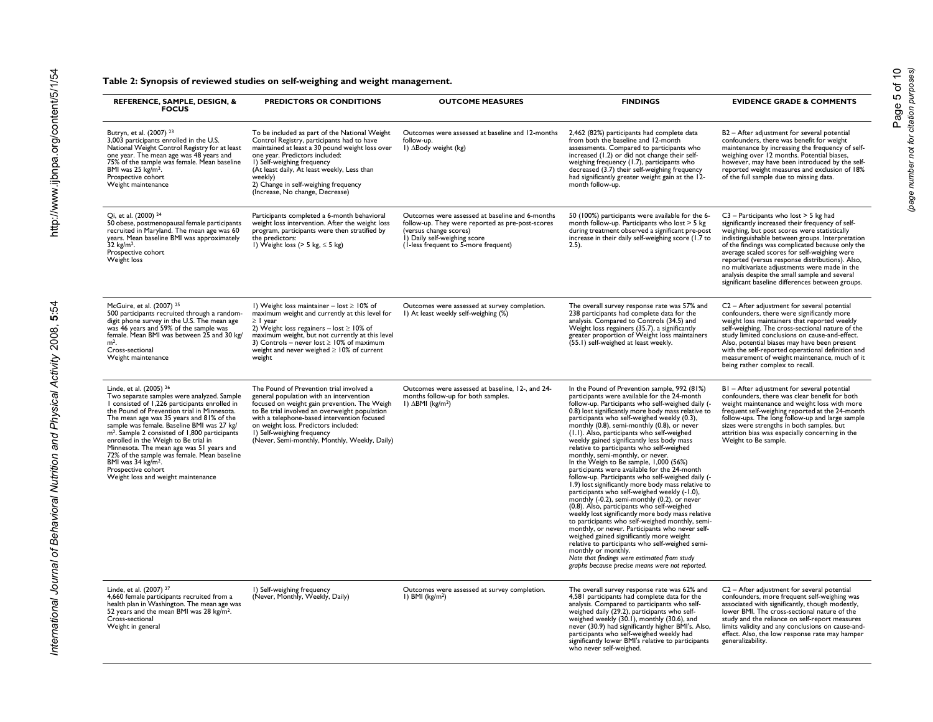#### **Table 2: Synopsis of reviewed studies on self-weighing and weight management.**

| REFERENCE, SAMPLE, DESIGN, &<br><b>FOCUS</b>                                                                                                                                                                                                                                                                                                                                                                                                                                                                                                                             | <b>PREDICTORS OR CONDITIONS</b>                                                                                                                                                                                                                                                                                                                            | <b>OUTCOME MEASURES</b>                                                                                                                                                                               | <b>FINDINGS</b>                                                                                                                                                                                                                                                                                                                                                                                                                                                                                                                                                                                                                                                                                                                                                                                                                                                                                                                                                                                                                                                                                                                                                                                                                                          | <b>EVIDENCE GRADE &amp; COMMENTS</b>                                                                                                                                                                                                                                                                                                                                                                                                                                                                          |
|--------------------------------------------------------------------------------------------------------------------------------------------------------------------------------------------------------------------------------------------------------------------------------------------------------------------------------------------------------------------------------------------------------------------------------------------------------------------------------------------------------------------------------------------------------------------------|------------------------------------------------------------------------------------------------------------------------------------------------------------------------------------------------------------------------------------------------------------------------------------------------------------------------------------------------------------|-------------------------------------------------------------------------------------------------------------------------------------------------------------------------------------------------------|----------------------------------------------------------------------------------------------------------------------------------------------------------------------------------------------------------------------------------------------------------------------------------------------------------------------------------------------------------------------------------------------------------------------------------------------------------------------------------------------------------------------------------------------------------------------------------------------------------------------------------------------------------------------------------------------------------------------------------------------------------------------------------------------------------------------------------------------------------------------------------------------------------------------------------------------------------------------------------------------------------------------------------------------------------------------------------------------------------------------------------------------------------------------------------------------------------------------------------------------------------|---------------------------------------------------------------------------------------------------------------------------------------------------------------------------------------------------------------------------------------------------------------------------------------------------------------------------------------------------------------------------------------------------------------------------------------------------------------------------------------------------------------|
| Butryn, et al. (2007) <sup>23</sup><br>3,003 participants enrolled in the U.S.<br>National Weight Control Registry for at least<br>one year. The mean age was 48 years and<br>75% of the sample was female. Mean baseline<br>BMI was 25 kg/m <sup>2</sup> .<br>Prospective cohort<br>Weight maintenance                                                                                                                                                                                                                                                                  | To be included as part of the National Weight<br>Control Registry, participants had to have<br>maintained at least a 30 pound weight loss over<br>one year. Predictors included:<br>I) Self-weighing frequency<br>(At least daily, At least weekly, Less than<br>weekly)<br>2) Change in self-weighing frequency<br>(Increase, No change, Decrease)        | Outcomes were assessed at baseline and 12-months<br>follow-up.<br>I) ABody weight (kg)                                                                                                                | 2,462 (82%) participants had complete data<br>from both the baseline and 12-month<br>assessments. Compared to participants who<br>increased (1.2) or did not change their self-<br>weighing frequency (1.7), participants who<br>decreased (3.7) their self-weighing frequency<br>had significantly greater weight gain at the 12-<br>month follow-up.                                                                                                                                                                                                                                                                                                                                                                                                                                                                                                                                                                                                                                                                                                                                                                                                                                                                                                   | B2 - After adjustment for several potential<br>confounders, there was benefit for weight<br>maintenance by increasing the frequency of self-<br>weighing over 12 months. Potential biases,<br>however, may have been introduced by the self-<br>reported weight measures and exclusion of 18%<br>of the full sample due to missing data.                                                                                                                                                                      |
| Qi, et al. (2000) <sup>24</sup><br>50 obese, postmenopausal female participants<br>recruited in Maryland. The mean age was 60<br>years. Mean baseline BMI was approximately<br>32 kg/m <sup>2</sup> .<br>Prospective cohort<br>Weight loss                                                                                                                                                                                                                                                                                                                               | Participants completed a 6-month behavioral<br>weight loss intervention. After the weight loss<br>program, participants were then stratified by<br>the predictors:<br>I) Weight loss ( $>$ 5 kg, $\leq$ 5 kg)                                                                                                                                              | Outcomes were assessed at baseline and 6-months<br>follow-up. They were reported as pre-post-scores<br>(versus change scores)<br>1) Daily self-weighing score<br>(1-less frequent to 5-more frequent) | 50 (100%) participants were available for the 6-<br>month follow-up. Participants who lost > 5 kg<br>during treatment observed a significant pre-post<br>increase in their daily self-weighing score (1.7 to<br>$2.5$ ).                                                                                                                                                                                                                                                                                                                                                                                                                                                                                                                                                                                                                                                                                                                                                                                                                                                                                                                                                                                                                                 | $C3$ – Participants who lost $>$ 5 kg had<br>significantly increased their frequency of self-<br>weighing, but post scores were statistically<br>indistinguishable between groups. Interpretation<br>of the findings was complicated because only the<br>average scaled scores for self-weighing were<br>reported (versus response distributions). Also,<br>no multivariate adjustments were made in the<br>analysis despite the small sample and several<br>significant baseline differences between groups. |
| McGuire, et al. (2007) <sup>25</sup><br>500 participants recruited through a random-<br>digit phone survey in the U.S. The mean age<br>was 46 years and 59% of the sample was<br>female. Mean BMI was between 25 and 30 kg/<br>$m2$ .<br>Cross-sectional<br>Weight maintenance                                                                                                                                                                                                                                                                                           | 1) Weight loss maintainer – lost $\geq$ 10% of<br>maximum weight and currently at this level for<br>$\geq$   year<br>2) Weight loss regainers - lost $\geq$ 10% of<br>maximum weight, but not currently at this level<br>3) Controls – never lost $\geq$ 10% of maximum<br>weight and never weighed $\geq$ 10% of current<br>weight                        | Outcomes were assessed at survey completion.<br>I) At least weekly self-weighing (%)                                                                                                                  | The overall survey response rate was 57% and<br>238 participants had complete data for the<br>analysis. Compared to Controls (34.5) and<br>Weight loss regainers (35.7), a significantly<br>greater proportion of Weight loss maintainers<br>(55.1) self-weighed at least weekly.                                                                                                                                                                                                                                                                                                                                                                                                                                                                                                                                                                                                                                                                                                                                                                                                                                                                                                                                                                        | C <sub>2</sub> – After adjustment for several potential<br>confounders, there were significantly more<br>weight loss maintainers that reported weekly<br>self-weighing. The cross-sectional nature of the<br>study limited conclusions on cause-and-effect.<br>Also, potential biases may have been present<br>with the self-reported operational definition and<br>measurement of weight maintenance, much of it<br>being rather complex to recall.                                                          |
| Linde, et al. (2005) <sup>26</sup><br>Two separate samples were analyzed. Sample<br>I consisted of 1,226 participants enrolled in<br>the Pound of Prevention trial in Minnesota.<br>The mean age was 35 years and 81% of the<br>sample was female. Baseline BMI was 27 kg/<br>m <sup>2</sup> . Sample 2 consisted of 1,800 participants<br>enrolled in the Weigh to Be trial in<br>Minnesota. The mean age was 51 years and<br>72% of the sample was female. Mean baseline<br>BMI was 34 kg/m <sup>2</sup> .<br>Prospective cohort<br>Weight loss and weight maintenance | The Pound of Prevention trial involved a<br>general population with an intervention<br>focused on weight gain prevention. The Weigh<br>to Be trial involved an overweight population<br>with a telephone-based intervention focused<br>on weight loss. Predictors included:<br>I) Self-weighing frequency<br>(Never, Semi-monthly, Monthly, Weekly, Daily) | Outcomes were assessed at baseline, 12-, and 24-<br>months follow-up for both samples.<br>I) $\triangle$ BMI (kg/m <sup>2</sup> )                                                                     | In the Pound of Prevention sample, 992 (81%)<br>participants were available for the 24-month<br>follow-up. Participants who self-weighed daily (-<br>0.8) lost significantly more body mass relative to<br>participants who self-weighed weekly (0.3),<br>monthly (0.8), semi-monthly (0.8), or never<br>(1.1). Also, participants who self-weighed<br>weekly gained significantly less body mass<br>relative to participants who self-weighed<br>monthly, semi-monthly, or never.<br>In the Weigh to Be sample, 1,000 (56%)<br>participants were available for the 24-month<br>follow-up. Participants who self-weighed daily (-<br>1.9) lost significantly more body mass relative to<br>France and the present of the property and the present participants who self-weighed weekly (-1.0), now the (0.2), semi-monthly (0.2), or never (0.8). Also, participants who self-weighed weekly lost significantly more body<br>to participants who self-weighed monthly, semi-<br>monthly, or never. Participants who never self-<br>weighed gained significantly more weight<br>relative to participants who self-weighed semi-<br>monthly or monthly.<br>Note that findings were estimated from study<br>graphs because precise means were not reported. | BI - After adjustment for several potential<br>confounders, there was clear benefit for both<br>weight maintenance and weight loss with more<br>frequent self-weighing reported at the 24-month<br>follow-ups. The long follow-up and large sample<br>sizes were strengths in both samples, but<br>attrition bias was especially concerning in the<br>Weight to Be sample.                                                                                                                                    |
| Linde, et al. (2007) <sup>27</sup><br>4,660 female participants recruited from a<br>health plan in Washington. The mean age was<br>52 years and the mean BMI was 28 kg/m <sup>2</sup> .<br>Cross-sectional<br>Weight in general                                                                                                                                                                                                                                                                                                                                          | I) Self-weighing frequency<br>(Never, Monthly, Weekly, Daily)                                                                                                                                                                                                                                                                                              | Outcomes were assessed at survey completion.<br>I) BMI ( $kg/m2$ )                                                                                                                                    | The overall survey response rate was 62% and<br>4,581 participants had complete data for the<br>analysis. Compared to participants who self-<br>weighed daily (29.2), participants who self-<br>weighed weekly (30.1), monthly (30.6), and<br>never (30.9) had significantly higher BMI's. Also,<br>participants who self-weighed weekly had<br>significantly lower BMI's relative to participants<br>who never self-weighed.                                                                                                                                                                                                                                                                                                                                                                                                                                                                                                                                                                                                                                                                                                                                                                                                                            | C2 - After adjustment for several potential<br>confounders, more frequent self-weighing was<br>associated with significantly, though modestly,<br>lower BMI. The cross-sectional nature of the<br>study and the reliance on self-report measures<br>limits validity and any conclusions on cause-and-<br>effect. Also, the low response rate may hamper<br>generalizability.                                                                                                                                  |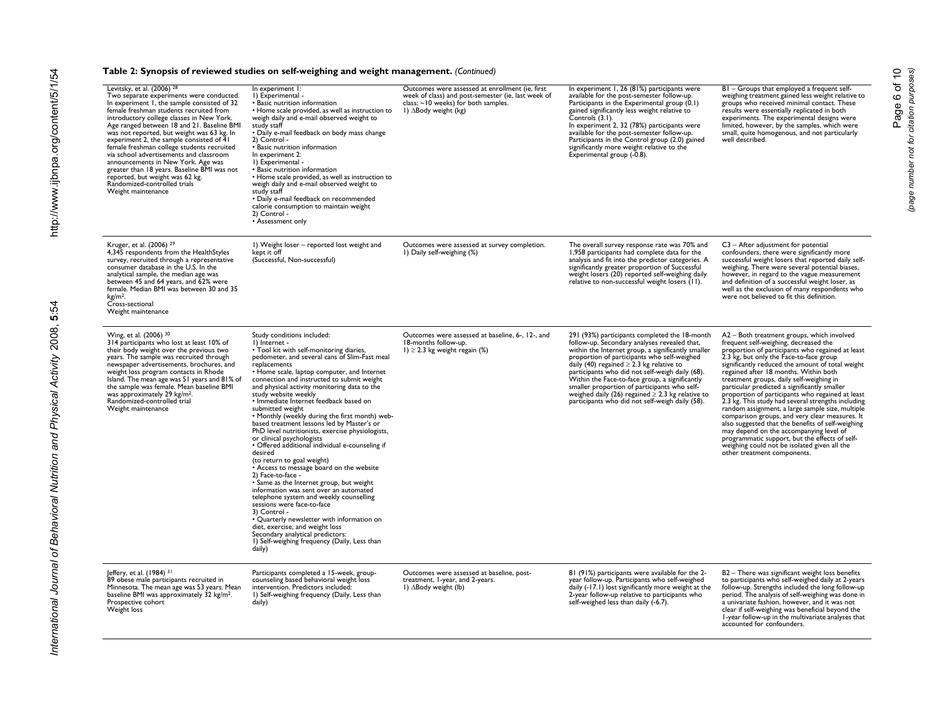# **Table 2: Synopsis of reviewed studies on self-weighing and weight management.** *(Continued)*

| Levitsky, et al. (2006) <sup>28</sup><br>Two separate experiments were conducted.<br>In experiment 1, the sample consisted of 32<br>female freshman students recruited from<br>introductory college classes in New York.<br>Age ranged between 18 and 21. Baseline BMI<br>was not reported, but weight was 63 kg. In<br>experiment 2, the sample consisted of 41<br>female freshman college students recruited<br>via school advertisements and classroom<br>announcements in New York. Age was<br>greater than 18 years. Baseline BMI was not<br>reported, but weight was 62 kg.<br>Randomized-controlled trials<br>Weight maintenance | In experiment I:<br>I) Experimental -<br>• Basic nutrition information<br>• Home scale provided, as well as instruction to<br>weigh daily and e-mail observed weight to<br>study staff<br>· Daily e-mail feedback on body mass change<br>2) Control -<br>• Basic nutrition information<br>In experiment 2:<br>I) Experimental -<br>• Basic nutrition information<br>• Home scale provided, as well as instruction to<br>weigh daily and e-mail observed weight to<br>study staff<br>• Daily e-mail feedback on recommended<br>calorie consumption to maintain weight<br>2) Control -<br>• Assessment only                                                                                                                                                                                                                                                                                                                                                                                                                                                                                             | Outcomes were assessed at enrollment (ie, first<br>week of class) and post-semester (ie, last week of<br>class; ~10 weeks) for both samples.<br>I) ABody weight (kg) | In experiment 1, 26 (81%) participants were<br>available for the post-semester follow-up.<br>Participants in the Experimental group (0.1)<br>gained significantly less weight relative to<br>Controls (3.1).<br>In experiment 2, 32 (78%) participants were<br>available for the post-semester follow-up.<br>Participants in the Control group (2.0) gained<br>significantly more weight relative to the<br>Experimental group (-0.8).                                                                               | BI - Groups that employed a frequent self-<br>weighing treatment gained less weight relative to<br>groups who received minimal contact. These<br>results were essentially replicated in both<br>experiments. The experimental designs were<br>limited, however, by the samples, which were<br>small, quite homogenous, and not particularly<br>well described.                                                                                                                                                                                                                                                                                                                                                                                                                                                               |
|-----------------------------------------------------------------------------------------------------------------------------------------------------------------------------------------------------------------------------------------------------------------------------------------------------------------------------------------------------------------------------------------------------------------------------------------------------------------------------------------------------------------------------------------------------------------------------------------------------------------------------------------|-------------------------------------------------------------------------------------------------------------------------------------------------------------------------------------------------------------------------------------------------------------------------------------------------------------------------------------------------------------------------------------------------------------------------------------------------------------------------------------------------------------------------------------------------------------------------------------------------------------------------------------------------------------------------------------------------------------------------------------------------------------------------------------------------------------------------------------------------------------------------------------------------------------------------------------------------------------------------------------------------------------------------------------------------------------------------------------------------------|----------------------------------------------------------------------------------------------------------------------------------------------------------------------|----------------------------------------------------------------------------------------------------------------------------------------------------------------------------------------------------------------------------------------------------------------------------------------------------------------------------------------------------------------------------------------------------------------------------------------------------------------------------------------------------------------------|------------------------------------------------------------------------------------------------------------------------------------------------------------------------------------------------------------------------------------------------------------------------------------------------------------------------------------------------------------------------------------------------------------------------------------------------------------------------------------------------------------------------------------------------------------------------------------------------------------------------------------------------------------------------------------------------------------------------------------------------------------------------------------------------------------------------------|
| Kruger, et al. (2006) <sup>29</sup><br>4,345 respondents from the HealthStyles<br>survey, recruited through a representative<br>consumer database in the U.S. In the<br>analytical sample, the median age was<br>between 45 and 64 years, and 62% were<br>female. Median BMI was between 30 and 35<br>kg/m <sup>2</sup> .<br>Cross-sectional<br>Weight maintenance                                                                                                                                                                                                                                                                      | I) Weight loser - reported lost weight and<br>kept it off<br>(Successful, Non-successful)                                                                                                                                                                                                                                                                                                                                                                                                                                                                                                                                                                                                                                                                                                                                                                                                                                                                                                                                                                                                             | Outcomes were assessed at survey completion.<br>1) Daily self-weighing (%)                                                                                           | The overall survey response rate was 70% and<br>1,958 participants had complete data for the<br>analysis and fit into the predictor categories. A<br>significantly greater proportion of Successful<br>weight losers (20) reported self-weighing daily<br>relative to non-successful weight losers (11).                                                                                                                                                                                                             | $C3$ – After adjustment for potential<br>confounders, there were significantly more<br>successful weight losers that reported daily self-<br>weighing. There were several potential biases,<br>however, in regard to the vague measurement<br>and definition of a successful weight loser, as<br>well as the exclusion of many respondents who<br>were not believed to fit this definition.                                                                                                                                                                                                                                                                                                                                                                                                                                  |
| Wing, et al. (2006) 30<br>314 participants who lost at least 10% of<br>their body weight over the previous two<br>years. The sample was recruited through<br>newspaper advertisements, brochures, and<br>weight loss program contacts in Rhode<br>Island. The mean age was 51 years and 81% of<br>the sample was female. Mean baseline BMI<br>was approximately 29 kg/m <sup>2</sup> .<br>Randomized-controlled trial<br>Weight maintenance                                                                                                                                                                                             | Study conditions included:<br>I) Internet -<br>• Tool kit with self-monitoring diaries,<br>pedometer, and several cans of Slim-Fast meal<br>replacements<br>• Home scale, laptop computer, and Internet<br>connection and instructed to submit weight<br>and physical activity monitoring data to the<br>study website weekly<br>· Immediate Internet feedback based on<br>submitted weight<br>. Monthly (weekly during the first month) web-<br>based treatment lessons led by Master's or<br>PhD level nutritionists, exercise physiologists,<br>or clinical psychologists<br>· Offered additional individual e-counseling if<br>desired<br>(to return to goal weight)<br>Access to message board on the website<br>2) Face-to-face -<br>· Same as the Internet group, but weight<br>information was sent over an automated<br>telephone system and weekly counselling<br>sessions were face-to-face<br>3) Control -<br>• Quarterly newsletter with information on<br>diet, exercise, and weight loss<br>Secondary analytical predictors:<br>I) Self-weighing frequency (Daily, Less than<br>daily) | Outcomes were assessed at baseline, 6-, 12-, and<br>18-months follow-up.<br>$I$ ) $\geq$ 2.3 kg weight regain (%)                                                    | 291 (93%) participants completed the 18-month<br>follow-up. Secondary analyses revealed that,<br>within the Internet group, a significantly smaller<br>proportion of participants who self-weighed<br>daily (40) regained $\geq$ 2.3 kg relative to<br>participants who did not self-weigh daily (68).<br>Within the Face-to-face group, a significantly<br>smaller proportion of participants who self-<br>weighed daily (26) regained $\geq$ 2.3 kg relative to<br>participants who did not self-weigh daily (58). | A2 - Both treatment groups, which involved<br>frequent self-weighing, decreased the<br>proportion of participants who regained at least<br>2.3 kg, but only the Face-to-face group<br>significantly reduced the amount of total weight<br>regained after 18 months. Within both<br>treatment groups, daily self-weighing in<br>particular predicted a significantly smaller<br>proportion of participants who regained at least<br>2.3 kg. This study had several strengths including<br>random assignment, a large sample size, multiple<br>comparison groups, and very clear measures. It<br>also suggested that the benefits of self-weighing<br>may depend on the accompanying level of<br>programmatic support, but the effects of self-<br>weighing could not be isolated given all the<br>other treatment components. |
| Jeffery, et al. (1984) <sup>31</sup><br>89 obese male participants recruited in<br>Minnesota. The mean age was 53 years. Mean<br>baseline BMI was approximately 32 kg/m <sup>2</sup> .<br>Prospective cohort<br>Weight loss                                                                                                                                                                                                                                                                                                                                                                                                             | Participants completed a 15-week, group-<br>counseling based behavioral weight loss<br>intervention. Predictors included:<br>I) Self-weighing frequency (Daily, Less than<br>daily)                                                                                                                                                                                                                                                                                                                                                                                                                                                                                                                                                                                                                                                                                                                                                                                                                                                                                                                   | Outcomes were assessed at baseline, post-<br>treatment, I-year, and 2-years.<br>I) ABody weight (lb)                                                                 | 81 (91%) participants were available for the 2-<br>year follow-up. Participants who self-weighed<br>daily (-17.1) lost significantly more weight at the<br>2-year follow-up relative to participants who<br>self-weighed less than daily (-6.7).                                                                                                                                                                                                                                                                     | B2 - There was significant weight loss benefits<br>to participants who self-weighed daily at 2-years<br>follow-up. Strengths included the long follow-up<br>period. The analysis of self-weighing was done in<br>a univariate fashion, however, and it was not<br>clear if self-weighing was beneficial beyond the<br>I-year follow-up in the multivariate analyses that<br>accounted for confounders.                                                                                                                                                                                                                                                                                                                                                                                                                       |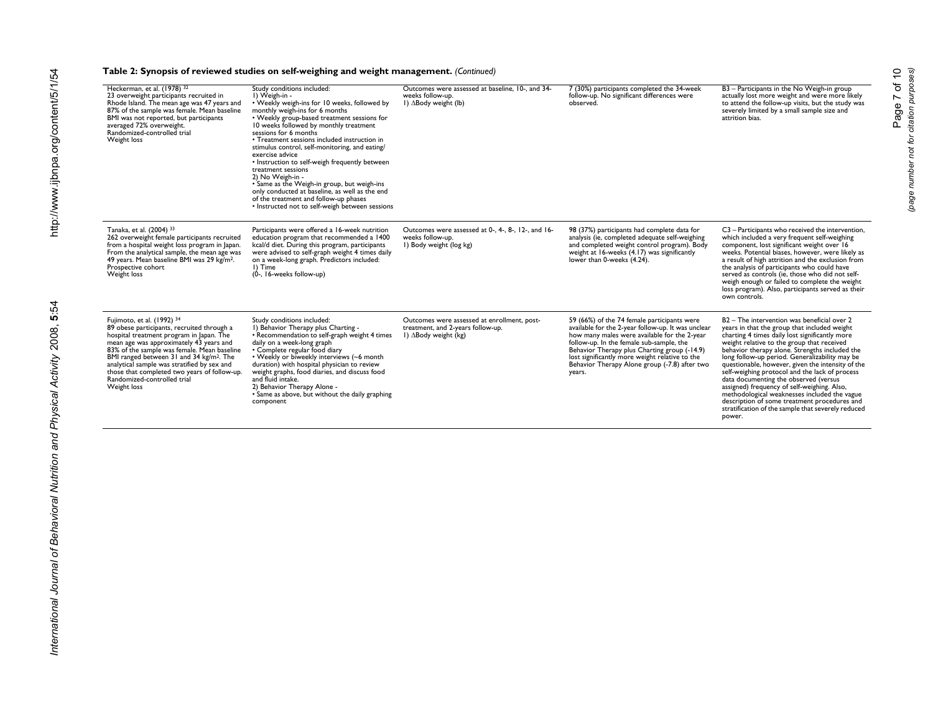# **Table 2: Synopsis of reviewed studies on self-weighing and weight management.** *(Continued)*

| Heckerman, et al. (1978) 32<br>23 overweight participants recruited in<br>Rhode Island. The mean age was 47 years and<br>87% of the sample was female. Mean baseline<br>BMI was not reported, but participants<br>averaged 72% overweight.<br>Randomized-controlled trial<br>Weight loss                                                                                                                            | Study conditions included:<br>I) Weigh-in -<br>. Weekly weigh-ins for 10 weeks, followed by<br>monthly weigh-ins for 6 months<br>• Weekly group-based treatment sessions for<br>10 weeks followed by monthly treatment<br>sessions for 6 months<br>• Treatment sessions included instruction in<br>stimulus control, self-monitoring, and eating/<br>exercise advice<br>• Instruction to self-weigh frequently between<br>treatment sessions<br>2) No Weigh-in -<br>• Same as the Weigh-in group, but weigh-ins<br>only conducted at baseline, as well as the end<br>of the treatment and follow-up phases<br>• Instructed not to self-weigh between sessions | Outcomes were assessed at baseline, 10-, and 34-<br>weeks follow-up.<br>I) ABody weight (lb)             | 7 (30%) participants completed the 34-week<br>follow-up. No significant differences were<br>observed.                                                                                                                                                                                                                                                      | B3 - Participants in the No Weigh-in group<br>actually lost more weight and were more likely<br>to attend the follow-up visits, but the study was<br>severely limited by a small sample size and<br>attrition bias.                                                                                                                                                                                                                                                                                                                                                                                                                                                        |
|---------------------------------------------------------------------------------------------------------------------------------------------------------------------------------------------------------------------------------------------------------------------------------------------------------------------------------------------------------------------------------------------------------------------|---------------------------------------------------------------------------------------------------------------------------------------------------------------------------------------------------------------------------------------------------------------------------------------------------------------------------------------------------------------------------------------------------------------------------------------------------------------------------------------------------------------------------------------------------------------------------------------------------------------------------------------------------------------|----------------------------------------------------------------------------------------------------------|------------------------------------------------------------------------------------------------------------------------------------------------------------------------------------------------------------------------------------------------------------------------------------------------------------------------------------------------------------|----------------------------------------------------------------------------------------------------------------------------------------------------------------------------------------------------------------------------------------------------------------------------------------------------------------------------------------------------------------------------------------------------------------------------------------------------------------------------------------------------------------------------------------------------------------------------------------------------------------------------------------------------------------------------|
| Tanaka, et al. (2004) 33<br>262 overweight female participants recruited<br>from a hospital weight loss program in Japan.<br>From the analytical sample, the mean age was<br>49 years. Mean baseline BMI was 29 kg/m <sup>2</sup> .<br>Prospective cohort<br>Weight loss                                                                                                                                            | Participants were offered a 16-week nutrition<br>education program that recommended a 1400<br>kcal/d diet. During this program, participants<br>were advised to self-graph weight 4 times daily<br>on a week-long graph. Predictors included:<br>I) Time<br>$(0-, 16$ -weeks follow-up)                                                                                                                                                                                                                                                                                                                                                                       | Outcomes were assessed at 0-, 4-, 8-, 12-, and 16-<br>weeks follow-up.<br>I) Body weight (log kg)        | 98 (37%) participants had complete data for<br>analysis (ie, completed adequate self-weighing<br>and completed weight control program). Body<br>weight at 16-weeks (4.17) was significantly<br>lower than 0-weeks (4.24).                                                                                                                                  | C3 - Participants who received the intervention,<br>which included a very frequent self-weighing<br>component, lost significant weight over 16<br>weeks. Potential biases, however, were likely as<br>a result of high attrition and the exclusion from<br>the analysis of participants who could have<br>served as controls (ie, those who did not self-<br>weigh enough or failed to complete the weight<br>loss program). Also, participants served as their<br>own controls.                                                                                                                                                                                           |
| Fujimoto, et al. (1992) 34<br>89 obese participants, recruited through a<br>hospital treatment program in Japan. The<br>mean age was approximately 43 years and<br>83% of the sample was female. Mean baseline<br>BMI ranged between 31 and 34 kg/m <sup>2</sup> . The<br>analytical sample was stratified by sex and<br>those that completed two years of follow-up.<br>Randomized-controlled trial<br>Weight loss | Study conditions included:<br>I) Behavior Therapy plus Charting -<br>• Recommendation to self-graph weight 4 times<br>daily on a week-long graph<br>• Complete regular food diary<br>• Weekly or biweekly interviews (~6 month<br>duration) with hospital physician to review<br>weight graphs, food diaries, and discuss food<br>and fluid intake.<br>2) Behavior Therapy Alone -<br>• Same as above, but without the daily graphing<br>component                                                                                                                                                                                                            | Outcomes were assessed at enrollment, post-<br>treatment, and 2-years follow-up.<br>I) ABody weight (kg) | 59 (66%) of the 74 female participants were<br>available for the 2-year follow-up. It was unclear<br>how many males were available for the 2-year<br>follow-up. In the female sub-sample, the<br>Behavior Therapy plus Charting group (-14.9)<br>lost significantly more weight relative to the<br>Behavior Therapy Alone group (-7.8) after two<br>years. | B <sub>2</sub> – The intervention was beneficial over 2<br>years in that the group that included weight<br>charting 4 times daily lost significantly more<br>weight relative to the group that received<br>behavior therapy alone. Strengths included the<br>long follow-up period. Generalizability may be<br>questionable, however, given the intensity of the<br>self-weighing protocol and the lack of process<br>data documenting the observed (versus<br>assigned) frequency of self-weighing. Also,<br>methodological weaknesses included the vague<br>description of some treatment procedures and<br>stratification of the sample that severely reduced<br>power. |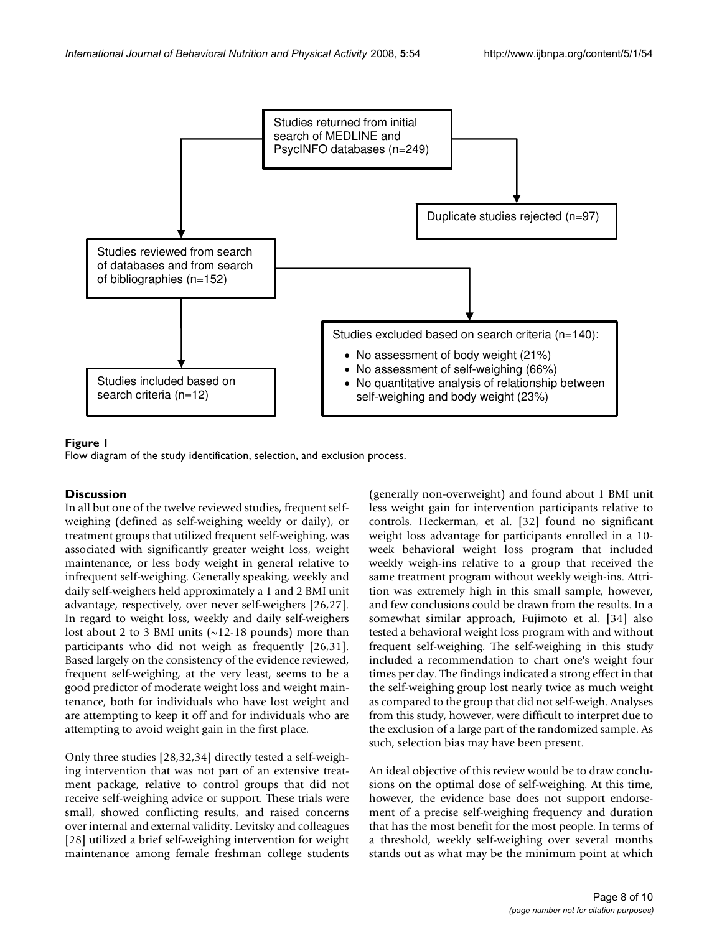

### Figure 1

Flow diagram of the study identification, selection, and exclusion process.

# **Discussion**

In all but one of the twelve reviewed studies, frequent selfweighing (defined as self-weighing weekly or daily), or treatment groups that utilized frequent self-weighing, was associated with significantly greater weight loss, weight maintenance, or less body weight in general relative to infrequent self-weighing. Generally speaking, weekly and daily self-weighers held approximately a 1 and 2 BMI unit advantage, respectively, over never self-weighers [26,27]. In regard to weight loss, weekly and daily self-weighers lost about 2 to 3 BMI units  $(\sim 12-18$  pounds) more than participants who did not weigh as frequently [26,31]. Based largely on the consistency of the evidence reviewed, frequent self-weighing, at the very least, seems to be a good predictor of moderate weight loss and weight maintenance, both for individuals who have lost weight and are attempting to keep it off and for individuals who are attempting to avoid weight gain in the first place.

Only three studies [28,32,34] directly tested a self-weighing intervention that was not part of an extensive treatment package, relative to control groups that did not receive self-weighing advice or support. These trials were small, showed conflicting results, and raised concerns over internal and external validity. Levitsky and colleagues [28] utilized a brief self-weighing intervention for weight maintenance among female freshman college students (generally non-overweight) and found about 1 BMI unit less weight gain for intervention participants relative to controls. Heckerman, et al. [32] found no significant weight loss advantage for participants enrolled in a 10 week behavioral weight loss program that included weekly weigh-ins relative to a group that received the same treatment program without weekly weigh-ins. Attrition was extremely high in this small sample, however, and few conclusions could be drawn from the results. In a somewhat similar approach, Fujimoto et al. [34] also tested a behavioral weight loss program with and without frequent self-weighing. The self-weighing in this study included a recommendation to chart one's weight four times per day. The findings indicated a strong effect in that the self-weighing group lost nearly twice as much weight as compared to the group that did not self-weigh. Analyses from this study, however, were difficult to interpret due to the exclusion of a large part of the randomized sample. As such, selection bias may have been present.

An ideal objective of this review would be to draw conclusions on the optimal dose of self-weighing. At this time, however, the evidence base does not support endorsement of a precise self-weighing frequency and duration that has the most benefit for the most people. In terms of a threshold, weekly self-weighing over several months stands out as what may be the minimum point at which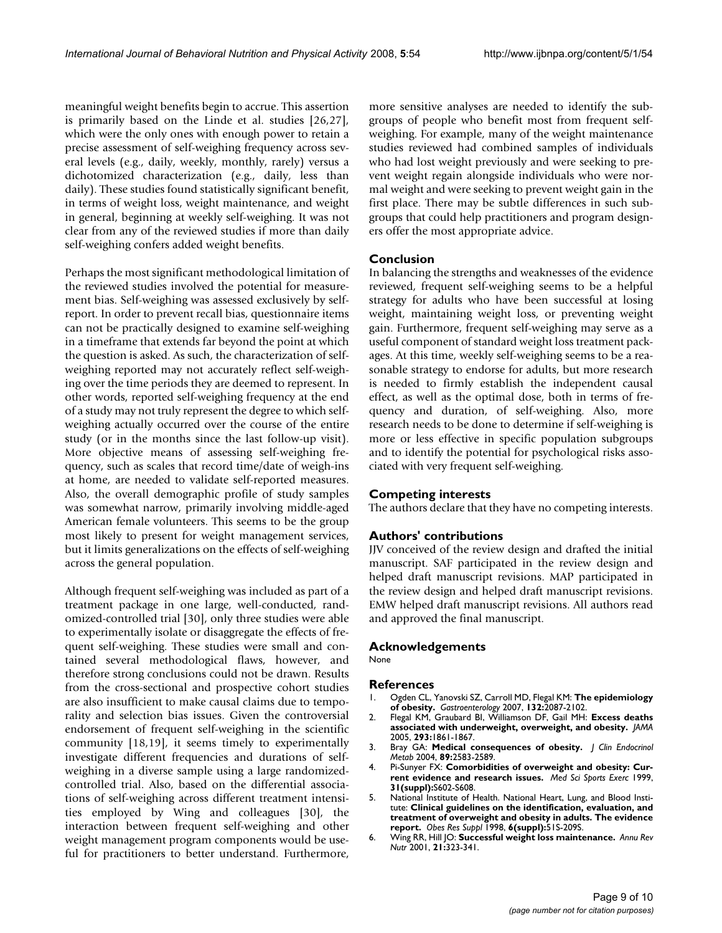meaningful weight benefits begin to accrue. This assertion is primarily based on the Linde et al. studies [26,27], which were the only ones with enough power to retain a precise assessment of self-weighing frequency across several levels (e.g., daily, weekly, monthly, rarely) versus a dichotomized characterization (e.g., daily, less than daily). These studies found statistically significant benefit, in terms of weight loss, weight maintenance, and weight in general, beginning at weekly self-weighing. It was not clear from any of the reviewed studies if more than daily self-weighing confers added weight benefits.

Perhaps the most significant methodological limitation of the reviewed studies involved the potential for measurement bias. Self-weighing was assessed exclusively by selfreport. In order to prevent recall bias, questionnaire items can not be practically designed to examine self-weighing in a timeframe that extends far beyond the point at which the question is asked. As such, the characterization of selfweighing reported may not accurately reflect self-weighing over the time periods they are deemed to represent. In other words, reported self-weighing frequency at the end of a study may not truly represent the degree to which selfweighing actually occurred over the course of the entire study (or in the months since the last follow-up visit). More objective means of assessing self-weighing frequency, such as scales that record time/date of weigh-ins at home, are needed to validate self-reported measures. Also, the overall demographic profile of study samples was somewhat narrow, primarily involving middle-aged American female volunteers. This seems to be the group most likely to present for weight management services, but it limits generalizations on the effects of self-weighing across the general population.

Although frequent self-weighing was included as part of a treatment package in one large, well-conducted, randomized-controlled trial [30], only three studies were able to experimentally isolate or disaggregate the effects of frequent self-weighing. These studies were small and contained several methodological flaws, however, and therefore strong conclusions could not be drawn. Results from the cross-sectional and prospective cohort studies are also insufficient to make causal claims due to temporality and selection bias issues. Given the controversial endorsement of frequent self-weighing in the scientific community [18,19], it seems timely to experimentally investigate different frequencies and durations of selfweighing in a diverse sample using a large randomizedcontrolled trial. Also, based on the differential associations of self-weighing across different treatment intensities employed by Wing and colleagues [30], the interaction between frequent self-weighing and other weight management program components would be useful for practitioners to better understand. Furthermore,

more sensitive analyses are needed to identify the subgroups of people who benefit most from frequent selfweighing. For example, many of the weight maintenance studies reviewed had combined samples of individuals who had lost weight previously and were seeking to prevent weight regain alongside individuals who were normal weight and were seeking to prevent weight gain in the first place. There may be subtle differences in such subgroups that could help practitioners and program designers offer the most appropriate advice.

#### **Conclusion**

In balancing the strengths and weaknesses of the evidence reviewed, frequent self-weighing seems to be a helpful strategy for adults who have been successful at losing weight, maintaining weight loss, or preventing weight gain. Furthermore, frequent self-weighing may serve as a useful component of standard weight loss treatment packages. At this time, weekly self-weighing seems to be a reasonable strategy to endorse for adults, but more research is needed to firmly establish the independent causal effect, as well as the optimal dose, both in terms of frequency and duration, of self-weighing. Also, more research needs to be done to determine if self-weighing is more or less effective in specific population subgroups and to identify the potential for psychological risks associated with very frequent self-weighing.

#### **Competing interests**

The authors declare that they have no competing interests.

#### **Authors' contributions**

JJV conceived of the review design and drafted the initial manuscript. SAF participated in the review design and helped draft manuscript revisions. MAP participated in the review design and helped draft manuscript revisions. EMW helped draft manuscript revisions. All authors read and approved the final manuscript.

#### **Acknowledgements**

None

#### **References**

- 1. Ogden CL, Yanovski SZ, Carroll MD, Flegal KM: **[The epidemiology](http://www.ncbi.nlm.nih.gov/entrez/query.fcgi?cmd=Retrieve&db=PubMed&dopt=Abstract&list_uids=17498505) [of obesity.](http://www.ncbi.nlm.nih.gov/entrez/query.fcgi?cmd=Retrieve&db=PubMed&dopt=Abstract&list_uids=17498505)** *Gastroenterology* 2007, **132:**2087-2102.
- 2. Flegal KM, Graubard BI, Williamson DF, Gail MH: **[Excess deaths](http://www.ncbi.nlm.nih.gov/entrez/query.fcgi?cmd=Retrieve&db=PubMed&dopt=Abstract&list_uids=15840860) [associated with underweight, overweight, and obesity.](http://www.ncbi.nlm.nih.gov/entrez/query.fcgi?cmd=Retrieve&db=PubMed&dopt=Abstract&list_uids=15840860)** *JAMA* 2005, **293:**1861-1867.
- 3. Bray GA: **[Medical consequences of obesity.](http://www.ncbi.nlm.nih.gov/entrez/query.fcgi?cmd=Retrieve&db=PubMed&dopt=Abstract&list_uids=15181027)** *J Clin Endocrinol Metab* 2004, **89:**2583-2589.
- 4. Pi-Sunyer FX: **Comorbidities of overweight and obesity: Current evidence and research issues.** *Med Sci Sports Exerc* 1999, **31(suppl):**S602-S608.
- 5. National Institute of Health. National Heart, Lung, and Blood Institute: **Clinical guidelines on the identification, evaluation, and treatment of overweight and obesity in adults. The evidence report.** *Obes Res Suppl* 1998, **6(suppl):**51S-209S.
- 6. Wing RR, Hill JO: **[Successful weight loss maintenance.](http://www.ncbi.nlm.nih.gov/entrez/query.fcgi?cmd=Retrieve&db=PubMed&dopt=Abstract&list_uids=11375440)** *Annu Rev Nutr* 2001, **21:**323-341.